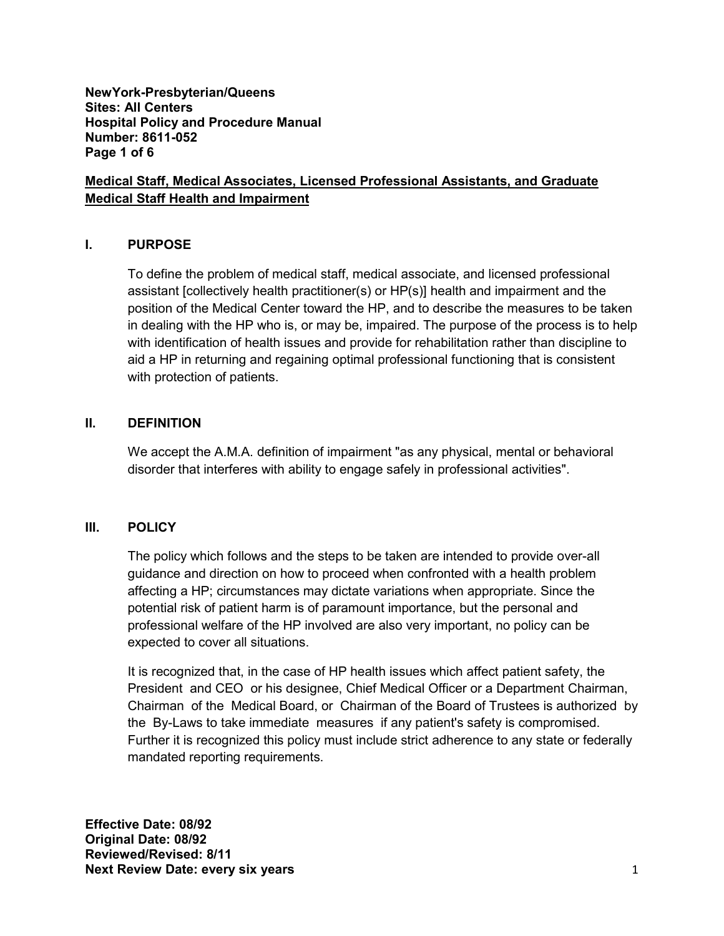**NewYork-Presbyterian/Queens Sites: All Centers Hospital Policy and Procedure Manual Number: 8611-052 Page 1 of 6** 

### **Medical Staff, Medical Associates, Licensed Professional Assistants, and Graduate Medical Staff Health and Impairment**

### **I. PURPOSE**

To define the problem of medical staff, medical associate, and licensed professional assistant [collectively health practitioner(s) or HP(s)] health and impairment and the position of the Medical Center toward the HP, and to describe the measures to be taken in dealing with the HP who is, or may be, impaired. The purpose of the process is to help with identification of health issues and provide for rehabilitation rather than discipline to aid a HP in returning and regaining optimal professional functioning that is consistent with protection of patients.

#### **II. DEFINITION**

We accept the A.M.A. definition of impairment "as any physical, mental or behavioral disorder that interferes with ability to engage safely in professional activities".

#### **III. POLICY**

The policy which follows and the steps to be taken are intended to provide over-all guidance and direction on how to proceed when confronted with a health problem affecting a HP; circumstances may dictate variations when appropriate. Since the potential risk of patient harm is of paramount importance, but the personal and professional welfare of the HP involved are also very important, no policy can be expected to cover all situations.

It is recognized that, in the case of HP health issues which affect patient safety, the President and CEO or his designee, Chief Medical Officer or a Department Chairman, Chairman of the Medical Board, or Chairman of the Board of Trustees is authorized by the By-Laws to take immediate measures if any patient's safety is compromised. Further it is recognized this policy must include strict adherence to any state or federally mandated reporting requirements.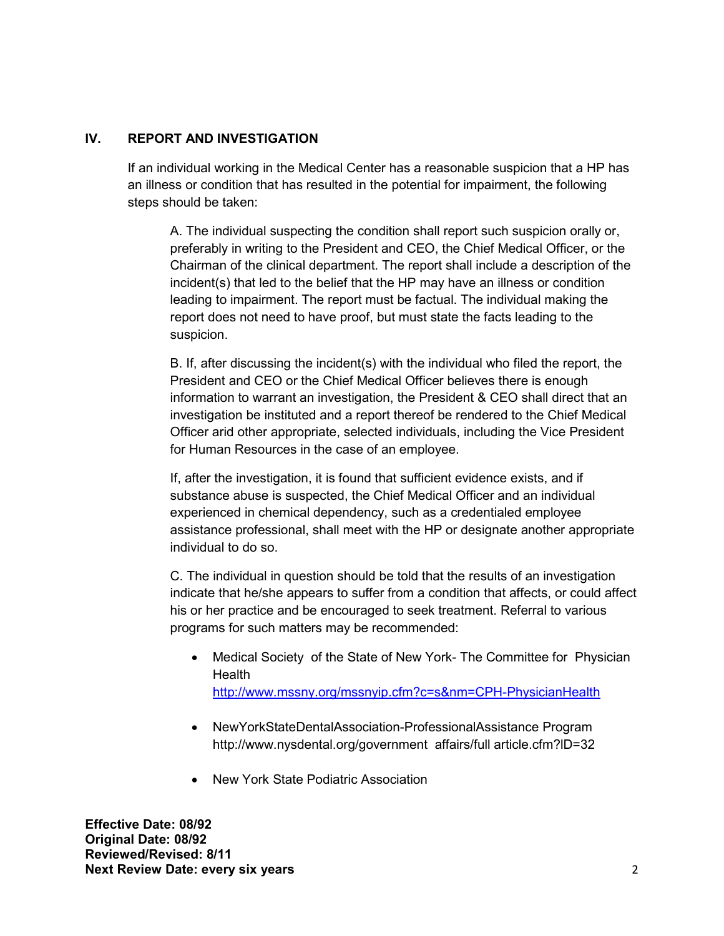## **IV. REPORT AND INVESTIGATION**

If an individual working in the Medical Center has a reasonable suspicion that a HP has an illness or condition that has resulted in the potential for impairment, the following steps should be taken:

A. The individual suspecting the condition shall report such suspicion orally or, preferably in writing to the President and CEO, the Chief Medical Officer, or the Chairman of the clinical department. The report shall include a description of the incident(s) that led to the belief that the HP may have an illness or condition leading to impairment. The report must be factual. The individual making the report does not need to have proof, but must state the facts leading to the suspicion.

B. If, after discussing the incident(s) with the individual who filed the report, the President and CEO or the Chief Medical Officer believes there is enough information to warrant an investigation, the President & CEO shall direct that an investigation be instituted and a report thereof be rendered to the Chief Medical Officer arid other appropriate, selected individuals, including the Vice President for Human Resources in the case of an employee.

If, after the investigation, it is found that sufficient evidence exists, and if substance abuse is suspected, the Chief Medical Officer and an individual experienced in chemical dependency, such as a credentialed employee assistance professional, shall meet with the HP or designate another appropriate individual to do so.

C. The individual in question should be told that the results of an investigation indicate that he/she appears to suffer from a condition that affects, or could affect his or her practice and be encouraged to seek treatment. Referral to various programs for such matters may be recommended:

- Medical Society of the State of New York- The Committee for Physician Health <http://www.mssny.org/mssnyip.cfm?c=s&nm=CPH-PhysicianHealth>
- NewYorkStateDentalAssociation-ProfessionalAssistance Program http://www.nysdental.org/government affairs/full article.cfm?lD=32
- New York State Podiatric Association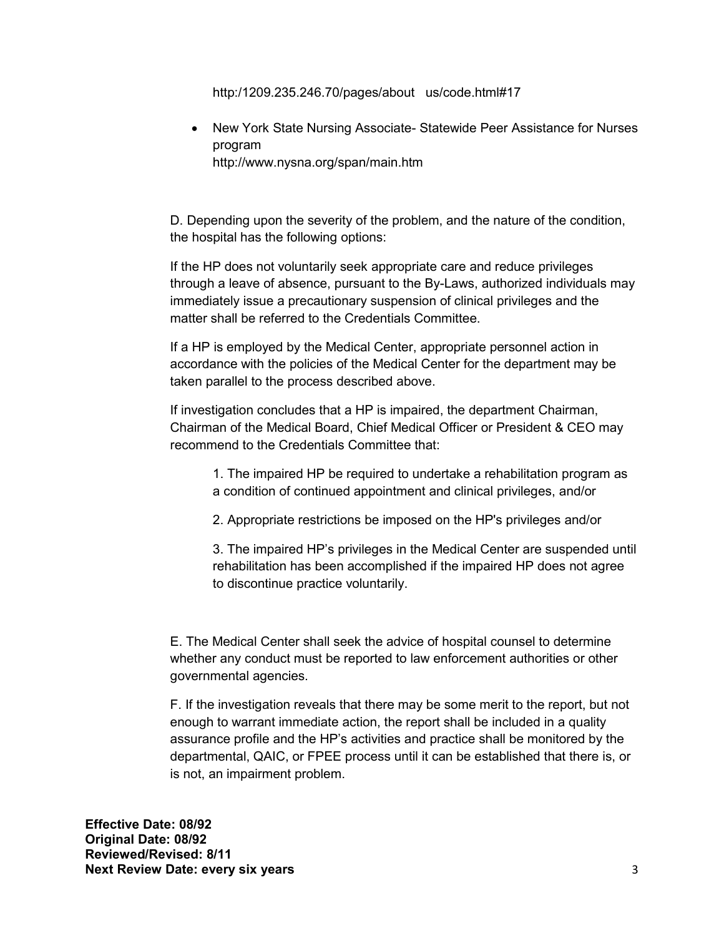http:/1209.235.246.70/pages/about us/code.html#17

• New York State Nursing Associate- Statewide Peer Assistance for Nurses program http://www.nysna.org/span/main.htm

D. Depending upon the severity of the problem, and the nature of the condition, the hospital has the following options:

If the HP does not voluntarily seek appropriate care and reduce privileges through a leave of absence, pursuant to the By-Laws, authorized individuals may immediately issue a precautionary suspension of clinical privileges and the matter shall be referred to the Credentials Committee.

If a HP is employed by the Medical Center, appropriate personnel action in accordance with the policies of the Medical Center for the department may be taken parallel to the process described above.

If investigation concludes that a HP is impaired, the department Chairman, Chairman of the Medical Board, Chief Medical Officer or President & CEO may recommend to the Credentials Committee that:

1. The impaired HP be required to undertake a rehabilitation program as a condition of continued appointment and clinical privileges, and/or

2. Appropriate restrictions be imposed on the HP's privileges and/or

3. The impaired HP's privileges in the Medical Center are suspended until rehabilitation has been accomplished if the impaired HP does not agree to discontinue practice voluntarily.

E. The Medical Center shall seek the advice of hospital counsel to determine whether any conduct must be reported to law enforcement authorities or other governmental agencies.

F. If the investigation reveals that there may be some merit to the report, but not enough to warrant immediate action, the report shall be included in a quality assurance profile and the HP's activities and practice shall be monitored by the departmental, QAIC, or FPEE process until it can be established that there is, or is not, an impairment problem.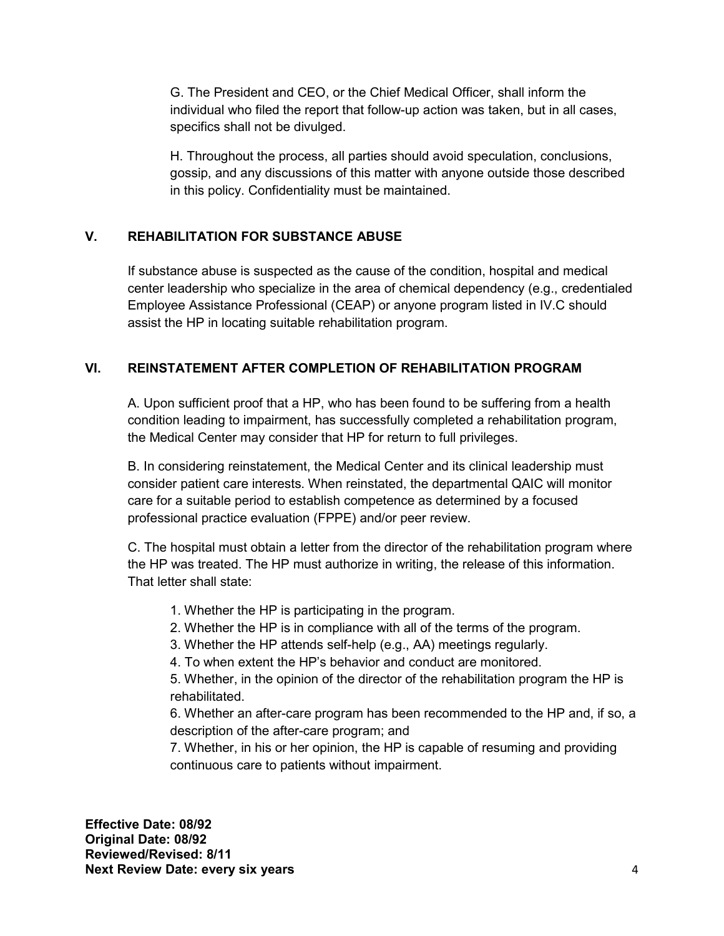G. The President and CEO, or the Chief Medical Officer, shall inform the individual who filed the report that follow-up action was taken, but in all cases, specifics shall not be divulged.

H. Throughout the process, all parties should avoid speculation, conclusions, gossip, and any discussions of this matter with anyone outside those described in this policy. Confidentiality must be maintained.

# **V. REHABILITATION FOR SUBSTANCE ABUSE**

If substance abuse is suspected as the cause of the condition, hospital and medical center leadership who specialize in the area of chemical dependency (e.g., credentialed Employee Assistance Professional (CEAP) or anyone program listed in IV.C should assist the HP in locating suitable rehabilitation program.

## **VI. REINSTATEMENT AFTER COMPLETION OF REHABILITATION PROGRAM**

A. Upon sufficient proof that a HP, who has been found to be suffering from a health condition leading to impairment, has successfully completed a rehabilitation program, the Medical Center may consider that HP for return to full privileges.

B. In considering reinstatement, the Medical Center and its clinical leadership must consider patient care interests. When reinstated, the departmental QAIC will monitor care for a suitable period to establish competence as determined by a focused professional practice evaluation (FPPE) and/or peer review.

 C. The hospital must obtain a letter from the director of the rehabilitation program where the HP was treated. The HP must authorize in writing, the release of this information. That letter shall state:

- 1. Whether the HP is participating in the program.
- 2. Whether the HP is in compliance with all of the terms of the program.
- 3. Whether the HP attends self-help (e.g., AA) meetings regularly.
- 4. To when extent the HP's behavior and conduct are monitored.

5. Whether, in the opinion of the director of the rehabilitation program the HP is rehabilitated.

6. Whether an after-care program has been recommended to the HP and, if so, a description of the after-care program; and

7. Whether, in his or her opinion, the HP is capable of resuming and providing continuous care to patients without impairment.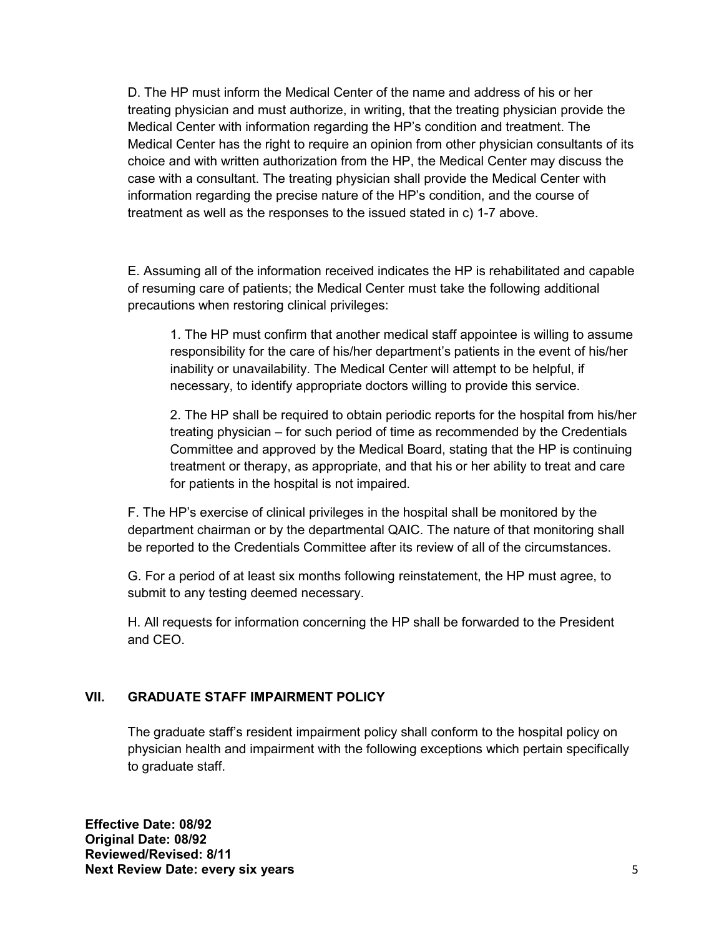D. The HP must inform the Medical Center of the name and address of his or her treating physician and must authorize, in writing, that the treating physician provide the Medical Center with information regarding the HP's condition and treatment. The Medical Center has the right to require an opinion from other physician consultants of its choice and with written authorization from the HP, the Medical Center may discuss the case with a consultant. The treating physician shall provide the Medical Center with information regarding the precise nature of the HP's condition, and the course of treatment as well as the responses to the issued stated in c) 1-7 above.

E. Assuming all of the information received indicates the HP is rehabilitated and capable of resuming care of patients; the Medical Center must take the following additional precautions when restoring clinical privileges:

1. The HP must confirm that another medical staff appointee is willing to assume responsibility for the care of his/her department's patients in the event of his/her inability or unavailability. The Medical Center will attempt to be helpful, if necessary, to identify appropriate doctors willing to provide this service.

2. The HP shall be required to obtain periodic reports for the hospital from his/her treating physician – for such period of time as recommended by the Credentials Committee and approved by the Medical Board, stating that the HP is continuing treatment or therapy, as appropriate, and that his or her ability to treat and care for patients in the hospital is not impaired.

F. The HP's exercise of clinical privileges in the hospital shall be monitored by the department chairman or by the departmental QAIC. The nature of that monitoring shall be reported to the Credentials Committee after its review of all of the circumstances.

G. For a period of at least six months following reinstatement, the HP must agree, to submit to any testing deemed necessary.

H. All requests for information concerning the HP shall be forwarded to the President and CEO.

## **VII. GRADUATE STAFF IMPAIRMENT POLICY**

The graduate staff's resident impairment policy shall conform to the hospital policy on physician health and impairment with the following exceptions which pertain specifically to graduate staff.